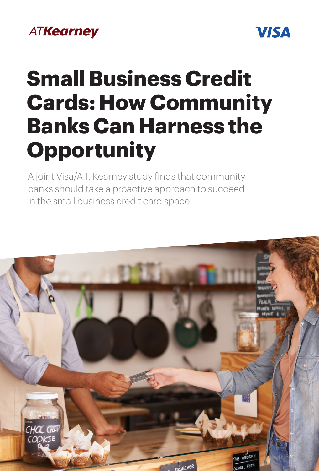# **ATKearney**



# **Small Business Credit Cards: How Community Banks Can Harness the Opportunity**

A joint Visa/A.T. Kearney study finds that community banks should take a proactive approach to succeed in the small business credit card space.

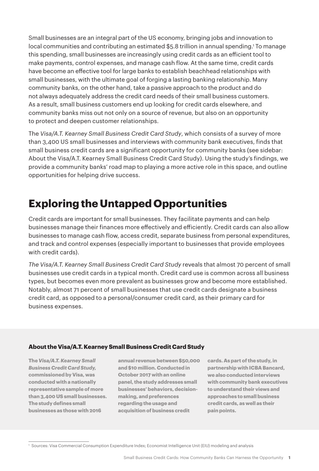Small businesses are an integral part of the US economy, bringing jobs and innovation to local communities and contributing an estimated \$5.8 trillion in annual spending.1 To manage this spending, small businesses are increasingly using credit cards as an efficient tool to make payments, control expenses, and manage cash flow. At the same time, credit cards have become an effective tool for large banks to establish beachhead relationships with small businesses, with the ultimate goal of forging a lasting banking relationship. Many community banks, on the other hand, take a passive approach to the product and do not always adequately address the credit card needs of their small business customers. As a result, small business customers end up looking for credit cards elsewhere, and community banks miss out not only on a source of revenue, but also on an opportunity to protect and deepen customer relationships.

The *Visa/A.T. Kearney Small Business Credit Card Study*, which consists of a survey of more than 3,400 US small businesses and interviews with community bank executives, finds that small business credit cards are a significant opportunity for community banks (see sidebar: About the Visa/A.T. Kearney Small Business Credit Card Study). Using the study's findings, we provide a community banks' road map to playing a more active role in this space, and outline opportunities for helping drive success.

# **Exploring the Untapped Opportunities**

Credit cards are important for small businesses. They facilitate payments and can help businesses manage their finances more effectively and efficiently. Credit cards can also allow businesses to manage cash flow, access credit, separate business from personal expenditures, and track and control expenses (especially important to businesses that provide employees with credit cards).

*The Visa/A.T. Kearney Small Business Credit Card Study* reveals that almost 70 percent of small businesses use credit cards in a typical month. Credit card use is common across all business types, but becomes even more prevalent as businesses grow and become more established. Notably, almost 71 percent of small businesses that use credit cards designate a business credit card, as opposed to a personal/consumer credit card, as their primary card for business expenses.

## **About the Visa/A.T. Kearney Small Business Credit Card Study**

**The** *Visa/A.T. Kearney Small Business Credit Card Study,*  **commissioned by Visa, was conducted with a nationally representative sample of more than 3,400 US small businesses. The study defines small businesses as those with 2016** 

**annual revenue between \$50,000 and \$10 million. Conducted in October 2017 with an online panel, the study addresses small businesses' behaviors, decisionmaking, and preferences regarding the usage and acquisition of business credit** 

**cards. As part of the study, in partnership with ICBA Bancard, we also conducted interviews with community bank executives to understand their views and approaches to small business credit cards, as well as their pain points.**

<sup>1</sup> Sources: Visa Commercial Consumption Expenditure Index; Economist Intelligence Unit (EIU) modeling and analysis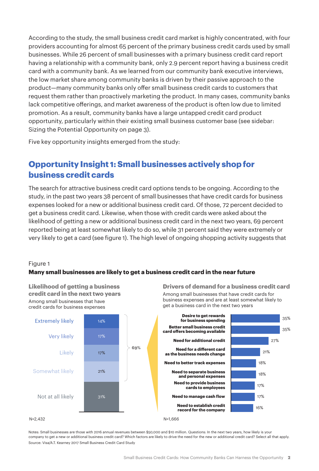According to the study, the small business credit card market is highly concentrated, with four providers accounting for almost 65 percent of the primary business credit cards used by small businesses. While 26 percent of small businesses with a primary business credit card report having a relationship with a community bank, only 2.9 percent report having a business credit card with a community bank. As we learned from our community bank executive interviews, the low market share among community banks is driven by their passive approach to the product—many community banks only offer small business credit cards to customers that request them rather than proactively marketing the product. In many cases, community banks lack competitive offerings, and market awareness of the product is often low due to limited promotion. As a result, community banks have a large untapped credit card product opportunity, particularly within their existing small business customer base (see sidebar: Sizing the Potential Opportunity on page 3).

Five key opportunity insights emerged from the study:

# **Opportunity Insight 1: Small businesses actively shop for business credit cards**

The search for attractive business credit card options tends to be ongoing. According to the study, in the past two years 38 percent of small businesses that have credit cards for business expenses looked for a new or additional business credit card. Of those, 72 percent decided to get a business credit card. Likewise, when those with credit cards were asked about the likelihood of getting a new or additional business credit card in the next two years, 69 percent reported being at least somewhat likely to do so, while 31 percent said they were extremely or very likely to get a card (see figure 1). The high level of ongoing shopping activity suggests that

## Figure 1

# **Many small businesses are likely to get a business credit card in the near future**



Notes: Small businesses are those with 2016 annual revenues between \$50,000 and \$10 million. Questions: In the next two years, how likely is your company to get a new or additional business credit card? Which factors are likely to drive the need for the new or additional credit card? Select all that apply. Source: Visa/A.T. Kearney 2017 Small Business Credit Card Study

**Likelihood of getting a business credit card in the next two years** Among small businesses that have

**Drivers of demand for a business credit card** Among small businesses that have credit cards for business expenses and are at least somewhat likely to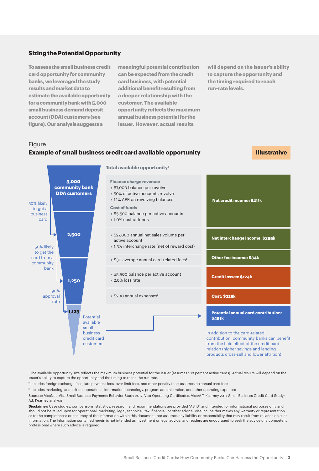#### **Sizing the Potential Opportunity**

**To assess the small business credit card opportunity for community banks, we leveraged the study results and market data to estimate the available opportunity for a community bank with 5,000 small business demand deposit account (DDA) customers (see figure). Our analysis suggests a** 

**meaningful potential contribution can be expected from the credit card business, with potential additional benefit resulting from a deeper relationship with the customer. The available opportunity reflects the maximum annual business potential for the issuer. However, actual results** 

**will depend on the issuer's ability to capture the opportunity and the timing required to reach run-rate levels.**

## Figure **Example of small business credit card available opportunity**

**Illustrative**



1 The available opportunity size reflects the maximum business potential for the issuer (assumes 100 percent active cards). Actual results will depend on the issuer's ability to capture the opportunity and the timing to reach the run-rate.

<sup>2</sup> Includes foreign exchange fees, late payment fees, over limit fees, and other penalty fees; assumes no annual card fees

3 Includes marketing, acquisition, operations, information technology, program administration, and other operating expenses

Sources: VisaNet, Visa Small Business Payments Behavior Study 2017, Visa Operating Certificates, Visa/A.T. Kearney 2017 Small Business Credit Card Study; A.T. Kearney analysis

**Disclaimer:** Case studies, comparisons, statistics, research, and recommendations are provided "AS IS" and intended for informational purposes only and should not be relied upon for operational, marketing, legal, technical, tax, financial, or other advice. Visa Inc. neither makes any warranty or representation as to the completeness or accuracy of the information within this document, nor assumes any liability or responsibility that may result from reliance on such information. The Information contained herein is not intended as investment or legal advice, and readers are encouraged to seek the advice of a competent professional where such advice is required.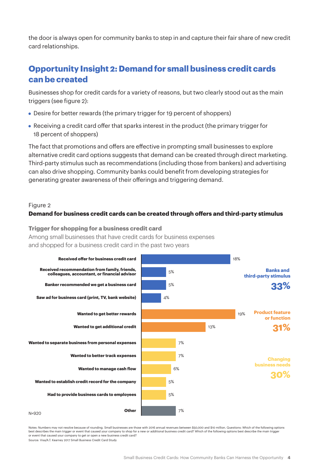the door is always open for community banks to step in and capture their fair share of new credit card relationships.

# **Opportunity Insight 2: Demand for small business credit cards can be created**

Businesses shop for credit cards for a variety of reasons, but two clearly stood out as the main triggers (see figure 2):

- **•** Desire for better rewards (the primary trigger for 19 percent of shoppers)
- **•** Receiving a credit card offer that sparks interest in the product (the primary trigger for 18 percent of shoppers)

The fact that promotions and offers are effective in prompting small businesses to explore alternative credit card options suggests that demand can be created through direct marketing. Third-party stimulus such as recommendations (including those from bankers) and advertising can also drive shopping. Community banks could benefit from developing strategies for generating greater awareness of their offerings and triggering demand.

## Figure 2

## **Demand for business credit cards can be created through o
ers and third-party stimulus**

**Trigger for shopping for a business credit card** Among small businesses that have credit cards for business expenses and shopped for a business credit card in the past two years



Notes: Numbers may not resolve because of rounding. Small businesses are those with 2016 annual revenues between \$50,000 and \$10 million. Questions: Which of the following options best describes the main trigger or event that caused your company to shop for a new or additional business credit card? Which of the following options best describe the main trigger or event that caused your company to get or open a new business credit card? Source: Visa/A.T. Kearney 2017 Small Business Credit Card Study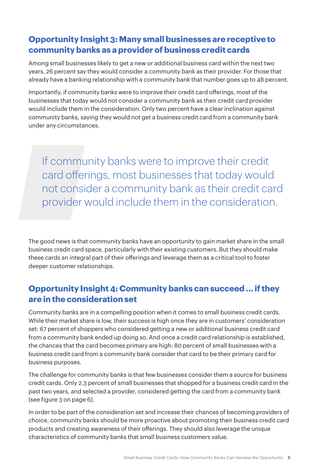# **Opportunity Insight 3: Many small businesses are receptive to community banks as a provider of business credit cards**

Among small businesses likely to get a new or additional business card within the next two years, 26 percent say they would consider a community bank as their provider. For those that already have a banking relationship with a community bank that number goes up to 48 percent.

Importantly, if community banks were to improve their credit card offerings, most of the businesses that today would not consider a community bank as their credit card provider would include them in the consideration. Only two percent have a clear inclination against community banks, saying they would not get a business credit card from a community bank under any circumstances.

If community banks were to improve their credit card offerings, most businesses that today would not consider a community bank as their credit card provider would include them in the consideration.

The good news is that community banks have an opportunity to gain market share in the small business credit card space, particularly with their existing customers. But they should make these cards an integral part of their offerings and leverage them as a critical tool to foster deeper customer relationships.

# **Opportunity Insight 4: Community banks can succeed ... if they are in the consideration set**

Community banks are in a compelling position when it comes to small business credit cards. While their market share is low, their success is high once they are in customers' consideration set: 67 percent of shoppers who considered getting a new or additional business credit card from a community bank ended up doing so. And once a credit card relationship is established, the chances that the card becomes primary are high: 80 percent of small businesses with a business credit card from a community bank consider that card to be their primary card for business purposes.

The challenge for community banks is that few businesses consider them a source for business credit cards. Only 2.3 percent of small businesses that shopped for a business credit card in the past two years, and selected a provider, considered getting the card from a community bank (see figure 3 on page 6).

In order to be part of the consideration set and increase their chances of becoming providers of choice, community banks should be more proactive about promoting their business credit card products and creating awareness of their offerings. They should also leverage the unique characteristics of community banks that small business customers value.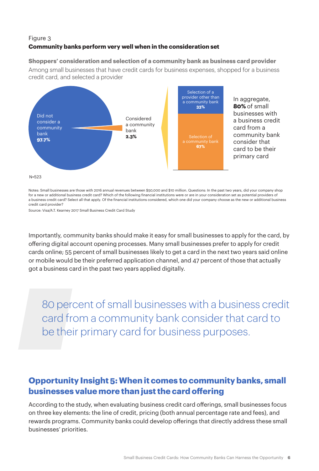# Figure 3 **Community banks perform very well when in the consideration set**

**Shoppers' consideration and selection of a community bank as business card provider** Among small businesses that have credit cards for business expenses, shopped for a business



In aggregate, **80%** of small businesses with a business credit card from a community bank consider that card to be their primary card

N=523

Notes: Small businesses are those with 2016 annual revenues between \$50,000 and \$10 million. Questions: In the past two years, did your company shop for a new or additional business credit card? Which of the following financial institutions were or are in your consideration set as potential providers of a business credit card? Select all that apply. Of the financial institutions considered, which one did your company choose as the new or additional business credit card provider?

Source: Visa/A.T. Kearney 2017 Small Business Credit Card Study

credit card, and selected a provider

Importantly, community banks should make it easy for small businesses to apply for the card, by offering digital account opening processes. Many small businesses prefer to apply for credit cards online; 55 percent of small businesses likely to get a card in the next two years said online or mobile would be their preferred application channel, and 47 percent of those that actually got a business card in the past two years applied digitally.

80 percent of small businesses with a business credit card from a community bank consider that card to be their primary card for business purposes.

# **Opportunity Insight 5: When it comes to community banks, small businesses value more than just the card offering**

According to the study, when evaluating business credit card offerings, small businesses focus on three key elements: the line of credit, pricing (both annual percentage rate and fees), and rewards programs. Community banks could develop offerings that directly address these small businesses' priorities.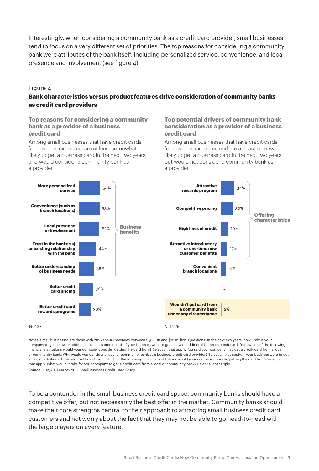Interestingly, when considering a community bank as a credit card provider, small businesses tend to focus on a very different set of priorities. The top reasons for considering a community bank were attributes of the bank itself, including personalized service, convenience, and local presence and involvement (see figure 4).

#### Figure 4

# **Bank characteristics versus product features drive consideration of community banks as credit card providers**

### **Top reasons for considering a community bank as a provider of a business credit card**

Among small businesses that have credit cards for business expenses, are at least somewhat likely to get a business card in the next two years, and would consider a community bank as a provider

### **Top potential drivers of community bank consideration as a provider of a business credit card**

Among small businesses that have credit cards for business expenses and are at least somewhat likely to get a business card in the next two years but would not consider a community bank as a provider



Notes: Small businesses are those with 2016 annual revenues between \$50,000 and \$10 million. Questions: In the next two years, how likely is your company to get a new or additional business credit card? If your business were to get a new or additional business credit card, from which of the following financial institutions would your company consider getting the card from? Select all that apply. You said your company may get a credit card from a local or community bank. Why would you consider a local or community bank as a business credit card provider? Select all that apply. If your business were to get a new or additional business credit card, from which of the following financial institutions would your company consider getting the card from? Select all that apply. What would it take for your company to get a credit card from a local or community bank? Select all that apply.

Source: Visa/A.T. Kearney 2017 Small Business Credit Card Study

To be a contender in the small business credit card space, community banks should have a competitive offer, but not necessarily the best offer in the market. Community banks should make their core strengths central to their approach to attracting small business credit card customers and not worry about the fact that they may not be able to go head-to-head with the large players on every feature.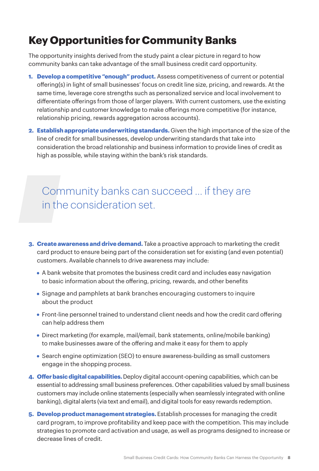# **Key Opportunities for Community Banks**

The opportunity insights derived from the study paint a clear picture in regard to how community banks can take advantage of the small business credit card opportunity.

- **1. Develop a competitive "enough" product.** Assess competitiveness of current or potential offering(s) in light of small businesses' focus on credit line size, pricing, and rewards. At the same time, leverage core strengths such as personalized service and local involvement to differentiate offerings from those of larger players. With current customers, use the existing relationship and customer knowledge to make offerings more competitive (for instance, relationship pricing, rewards aggregation across accounts).
- **2. Establish appropriate underwriting standards.** Given the high importance of the size of the line of credit for small businesses, develop underwriting standards that take into consideration the broad relationship and business information to provide lines of credit as high as possible, while staying within the bank's risk standards.

# Community banks can succeed … if they are in the consideration set.

- **3. Create awareness and drive demand.** Take a proactive approach to marketing the credit card product to ensure being part of the consideration set for existing (and even potential) customers. Available channels to drive awareness may include:
	- **•** A bank website that promotes the business credit card and includes easy navigation to basic information about the offering, pricing, rewards, and other benefits
	- **•** Signage and pamphlets at bank branches encouraging customers to inquire about the product
	- **•** Front-line personnel trained to understand client needs and how the credit card offering can help address them
	- **•** Direct marketing (for example, mail/email, bank statements, online/mobile banking) to make businesses aware of the offering and make it easy for them to apply
	- **•** Search engine optimization (SEO) to ensure awareness-building as small customers engage in the shopping process.
- **4. Offer basic digital capabilities.** Deploy digital account-opening capabilities, which can be essential to addressing small business preferences. Other capabilities valued by small business customers may include online statements (especially when seamlessly integrated with online banking), digital alerts (via text and email), and digital tools for easy rewards redemption.
- **5. Develop product management strategies.** Establish processes for managing the credit card program, to improve profitability and keep pace with the competition. This may include strategies to promote card activation and usage, as well as programs designed to increase or decrease lines of credit.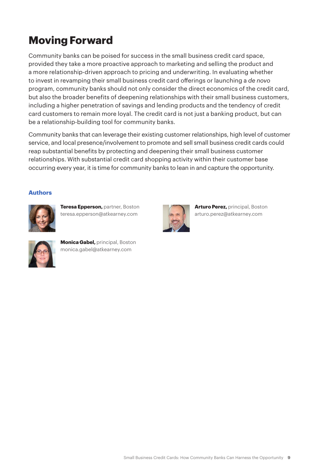# **Moving Forward**

Community banks can be poised for success in the small business credit card space, provided they take a more proactive approach to marketing and selling the product and a more relationship-driven approach to pricing and underwriting. In evaluating whether to invest in revamping their small business credit card offerings or launching a *de novo* program, community banks should not only consider the direct economics of the credit card, but also the broader benefits of deepening relationships with their small business customers, including a higher penetration of savings and lending products and the tendency of credit card customers to remain more loyal. The credit card is not just a banking product, but can be a relationship-building tool for community banks.

Community banks that can leverage their existing customer relationships, high level of customer service, and local presence/involvement to promote and sell small business credit cards could reap substantial benefits by protecting and deepening their small business customer relationships. With substantial credit card shopping activity within their customer base occurring every year, it is time for community banks to lean in and capture the opportunity.

## **Authors**



**Teresa Epperson,** partner, Boston teresa.epperson@atkearney.com



**Monica Gabel,** principal, Boston monica.gabel@atkearney.com



**Arturo Perez,** principal, Boston arturo.perez@atkearney.com